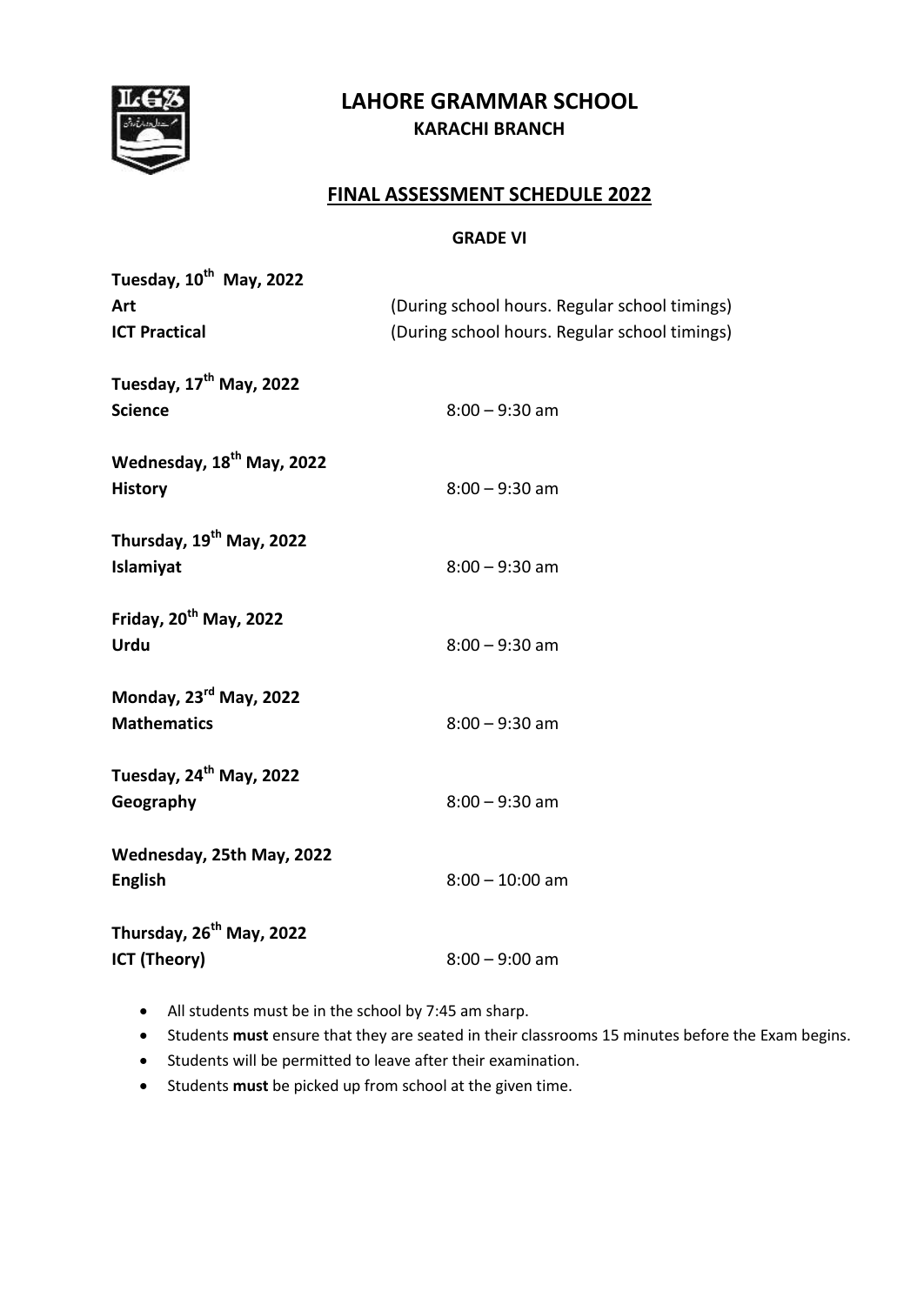

# **LAHORE GRAMMAR SCHOOL KARACHI BRANCH**

## **FINAL ASSESSMENT SCHEDULE 2022**

#### **GRADE VI**

| Tuesday, 10 <sup>th</sup> May, 2022<br>Art<br><b>ICT Practical</b> | (During school hours. Regular school timings)<br>(During school hours. Regular school timings) |
|--------------------------------------------------------------------|------------------------------------------------------------------------------------------------|
| Tuesday, 17 <sup>th</sup> May, 2022<br><b>Science</b>              | $8:00 - 9:30$ am                                                                               |
| Wednesday, 18 <sup>th</sup> May, 2022<br><b>History</b>            | $8:00 - 9:30$ am                                                                               |
| Thursday, 19 <sup>th</sup> May, 2022<br>Islamiyat                  | $8:00 - 9:30$ am                                                                               |
| Friday, 20 <sup>th</sup> May, 2022<br><b>Urdu</b>                  | $8:00 - 9:30$ am                                                                               |
| Monday, 23 <sup>rd</sup> May, 2022<br><b>Mathematics</b>           | $8:00 - 9:30$ am                                                                               |
| Tuesday, 24 <sup>th</sup> May, 2022<br>Geography                   | $8:00 - 9:30$ am                                                                               |
| Wednesday, 25th May, 2022<br><b>English</b>                        | $8:00 - 10:00$ am                                                                              |
| Thursday, 26 <sup>th</sup> May, 2022<br><b>ICT (Theory)</b>        | $8:00 - 9:00$ am                                                                               |

All students must be in the school by 7:45 am sharp.

- Students **must** ensure that they are seated in their classrooms 15 minutes before the Exam begins.
- Students will be permitted to leave after their examination.
- Students **must** be picked up from school at the given time.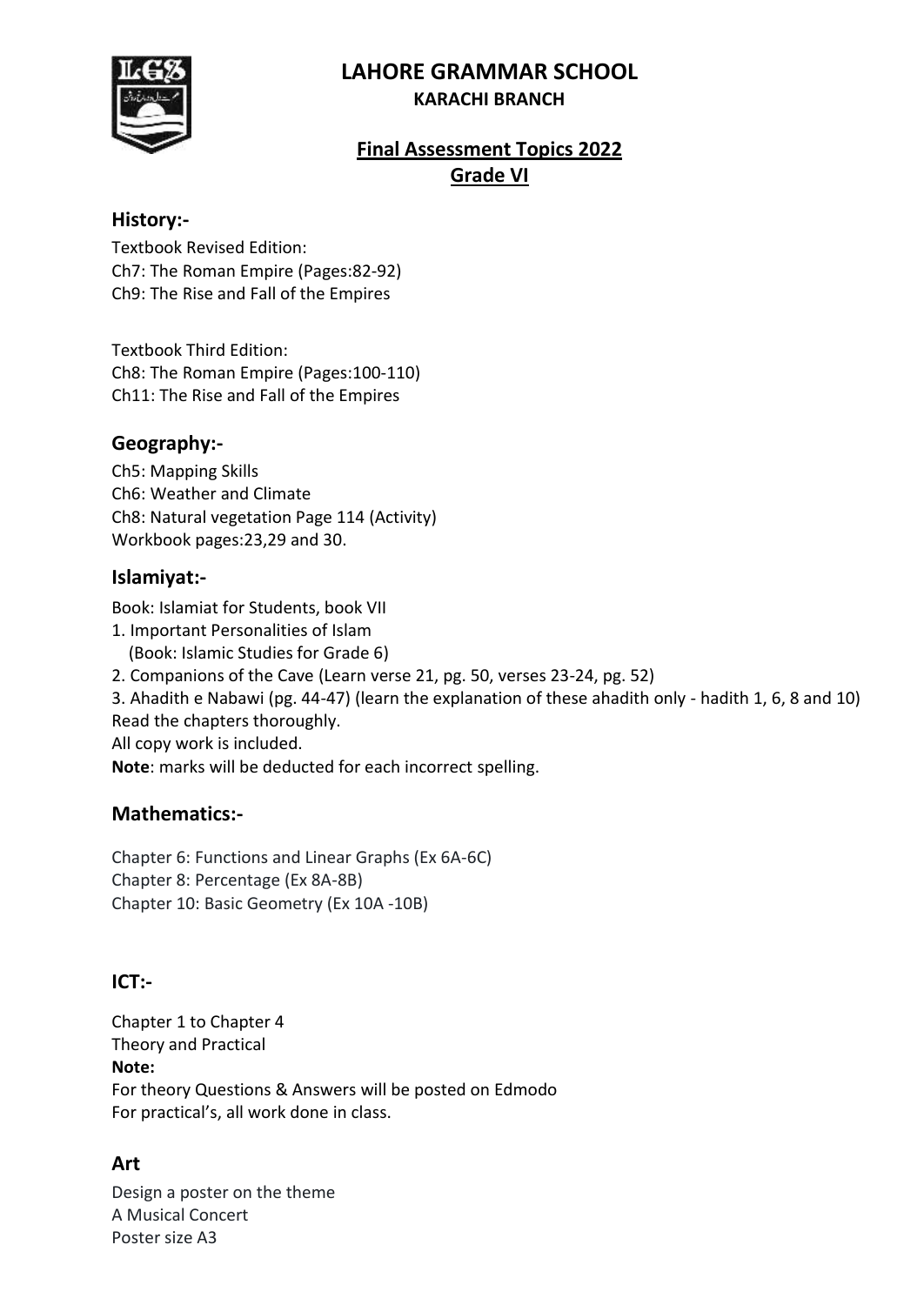# **LAHORE GRAMMAR SCHOOL**



#### **KARACHI BRANCH**

# **Final Assessment Topics 2022 Grade VI**

### **History:-**

Textbook Revised Edition: Ch7: The Roman Empire (Pages:82-92) Ch9: The Rise and Fall of the Empires

Textbook Third Edition: Ch8: The Roman Empire (Pages:100-110) Ch11: The Rise and Fall of the Empires

## **Geography:-**

Ch5: Mapping Skills Ch6: Weather and Climate Ch8: Natural vegetation Page 114 (Activity) Workbook pages:23,29 and 30.

## **Islamiyat:-**

Book: Islamiat for Students, book VII

- 1. Important Personalities of Islam (Book: Islamic Studies for Grade 6)
- 2. Companions of the Cave (Learn verse 21, pg. 50, verses 23-24, pg. 52)

3. Ahadith e Nabawi (pg. 44-47) (learn the explanation of these ahadith only - hadith 1, 6, 8 and 10)

Read the chapters thoroughly.

All copy work is included.

**Note**: marks will be deducted for each incorrect spelling.

## **Mathematics:-**

Chapter 6: Functions and Linear Graphs (Ex 6A-6C) Chapter 8: Percentage (Ex 8A-8B) Chapter 10: Basic Geometry (Ex 10A -10B)

## **ICT:-**

Chapter 1 to Chapter 4 Theory and Practical **Note:** For theory Questions & Answers will be posted on Edmodo For practical's, all work done in class.

# **Art**

Design a poster on the theme A Musical Concert Poster size A3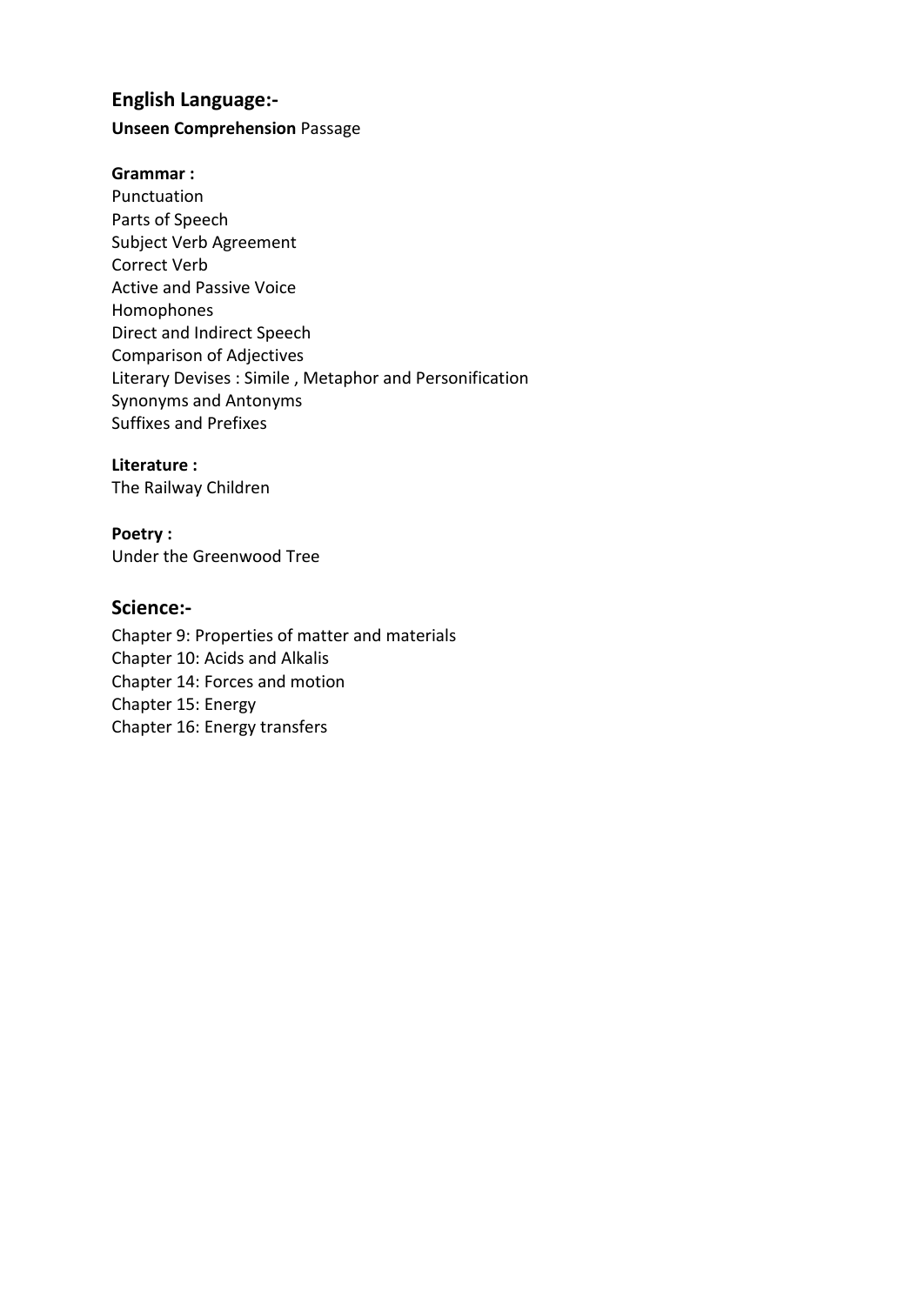## **English Language:-**

#### **Unseen Comprehension** Passage

#### **Grammar :**

Punctuation Parts of Speech Subject Verb Agreement Correct Verb Active and Passive Voice Homophones Direct and Indirect Speech Comparison of Adjectives Literary Devises : Simile , Metaphor and Personification Synonyms and Antonyms Suffixes and Prefixes

#### **Literature :**

The Railway Children

#### **Poetry :**

Under the Greenwood Tree

#### **Science:-**

Chapter 9: Properties of matter and materials Chapter 10: Acids and Alkalis Chapter 14: Forces and motion Chapter 15: Energy Chapter 16: Energy transfers